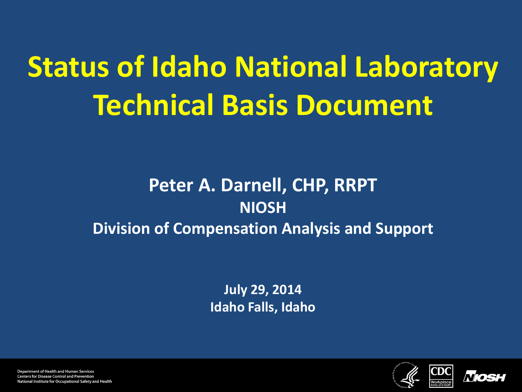**Status of Idaho National Laboratory Technical Basis Document**

#### **Peter A. Darnell, CHP, RRPT NIOSH Division of Compensation Analysis and Support**

**July 29, 2014 Idaho Falls, Idaho**

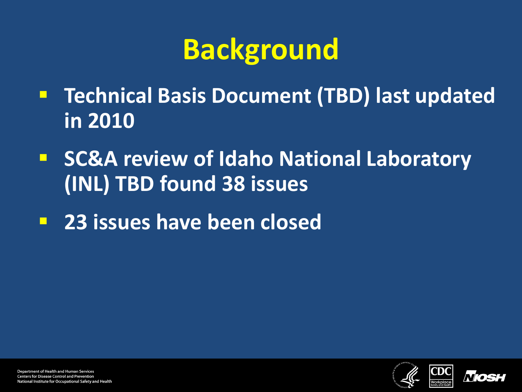# **Background**

- **Technical Basis Document (TBD) last updated in 2010**
- **F** SC&A review of Idaho National Laboratory **(INL) TBD found 38 issues**
- **23 issues have been closed**

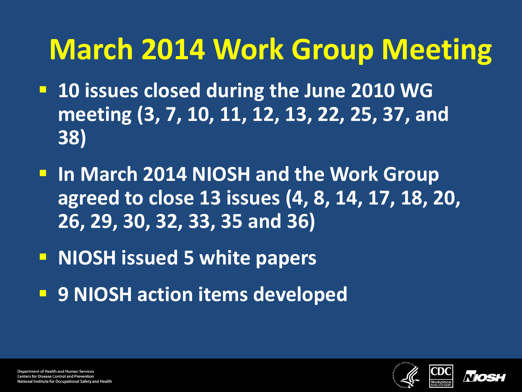## **March 2014 Work Group Meeting**

- **10 issues closed during the June 2010 WG meeting (3, 7, 10, 11, 12, 13, 22, 25, 37, and 38)**
- **In March 2014 NIOSH and the Work Group agreed to close 13 issues (4, 8, 14, 17, 18, 20, 26, 29, 30, 32, 33, 35 and 36)**
- **NIOSH issued 5 white papers**
- **9 NIOSH action items developed**



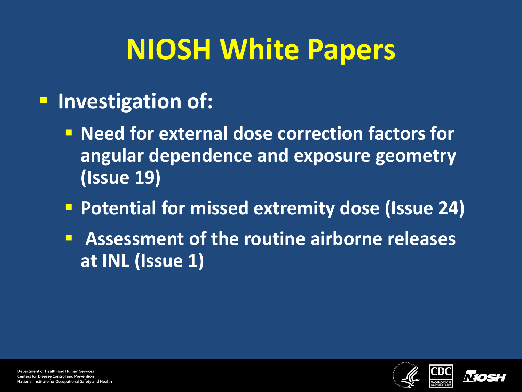## **NIOSH White Papers**

#### **Investigation of:**

- **Need for external dose correction factors for angular dependence and exposure geometry (Issue 19)**
- **Potential for missed extremity dose (Issue 24)**
- **Assessment of the routine airborne releases at INL (Issue 1)**





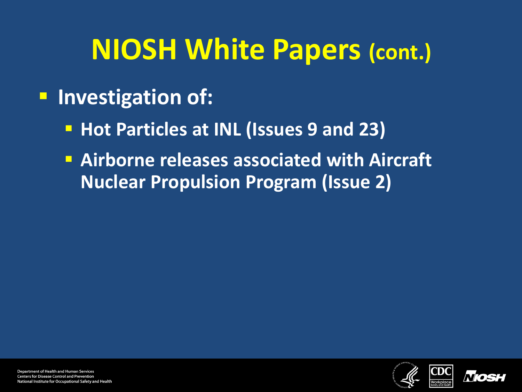#### **NIOSH White Papers (cont.)**

#### **Investigation of:**

- **Hot Particles at INL (Issues 9 and 23)**
- **Airborne releases associated with Aircraft Nuclear Propulsion Program (Issue 2)**



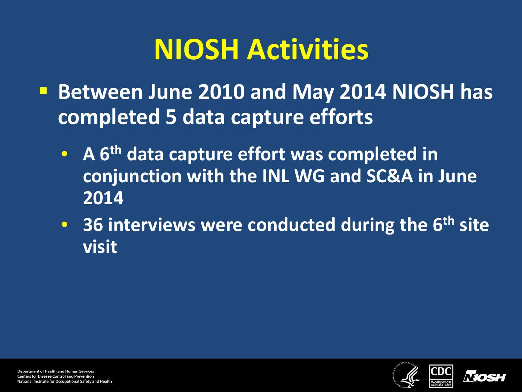## **NIOSH Activities**

- **Between June 2010 and May 2014 NIOSH has completed 5 data capture efforts**
	- **A 6th data capture effort was completed in conjunction with the INL WG and SC&A in June 2014**
	- **36 interviews were conducted during the 6th site visit**



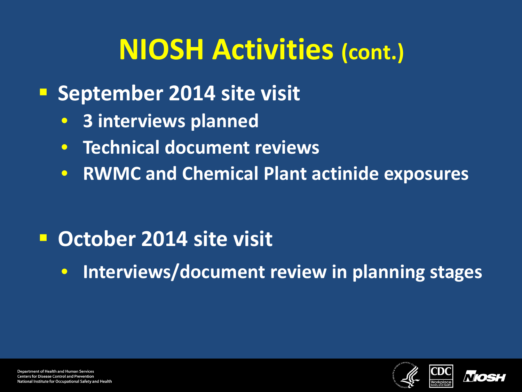## **NIOSH Activities (cont.)**

- **September 2014 site visit** 
	- **3 interviews planned**
	- **Technical document reviews**
	- **RWMC and Chemical Plant actinide exposures**

#### **October 2014 site visit**

• **Interviews/document review in planning stages**





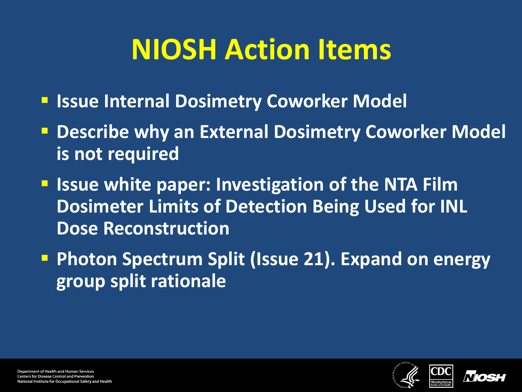## **NIOSH Action Items**

- **F Issue Internal Dosimetry Coworker Model**
- **Describe why an External Dosimetry Coworker Model is not required**
- **If Issue white paper: Investigation of the NTA Film Dosimeter Limits of Detection Being Used for INL Dose Reconstruction**
- **Photon Spectrum Split (Issue 21). Expand on energy group split rationale**



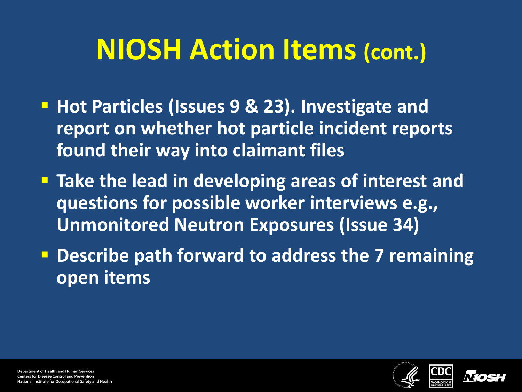#### **NIOSH Action Items (cont.)**

- **Hot Particles (Issues 9 & 23). Investigate and report on whether hot particle incident reports found their way into claimant files**
- **Take the lead in developing areas of interest and questions for possible worker interviews e.g., Unmonitored Neutron Exposures (Issue 34)**
- **Describe path forward to address the 7 remaining open items**

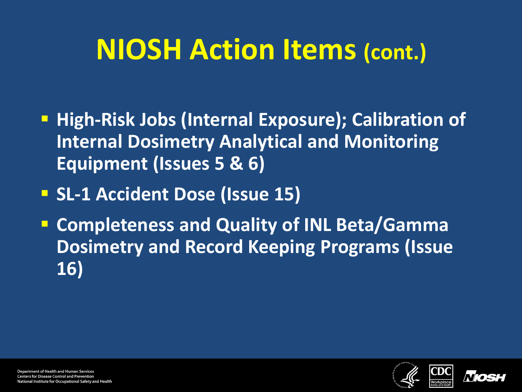### **NIOSH Action Items (cont.)**

- **High-Risk Jobs (Internal Exposure); Calibration of Internal Dosimetry Analytical and Monitoring Equipment (Issues 5 & 6)**
- **SL-1 Accident Dose (Issue 15)**
- **Completeness and Quality of INL Beta/Gamma Dosimetry and Record Keeping Programs (Issue 16)**



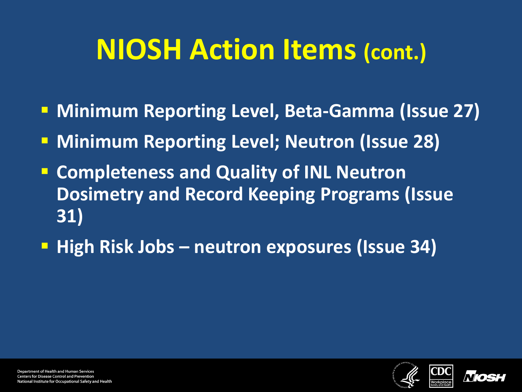#### **NIOSH Action Items (cont.)**

- **Minimum Reporting Level, Beta-Gamma (Issue 27)**
- **Minimum Reporting Level; Neutron (Issue 28)**
- **Completeness and Quality of INL Neutron Dosimetry and Record Keeping Programs (Issue 31)**
- **High Risk Jobs neutron exposures (Issue 34)**